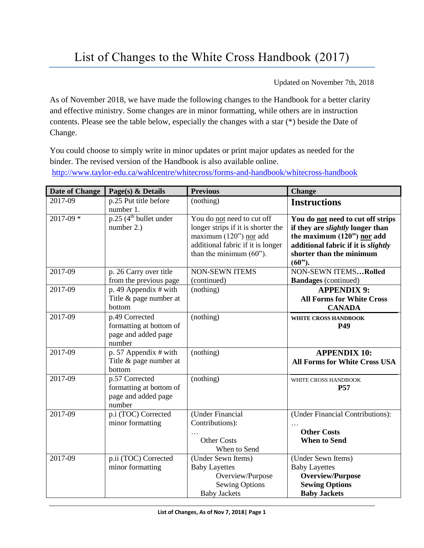Updated on November 7th, 2018

As of November 2018, we have made the following changes to the Handbook for a better clarity and effective ministry. Some changes are in minor formatting, while others are in instruction contents. Please see the table below, especially the changes with a star (\*) beside the Date of Change.

You could choose to simply write in minor updates or print major updates as needed for the binder. The revised version of the Handbook is also available online. <http://www.taylor-edu.ca/wahlcentre/whitecross/forms-and-handbook/whitecross-handbook>

| <b>Date of Change</b> | Page(s) $&$ Details                                                        | <b>Previous</b>                                                                                                                                              | <b>Change</b>                                                                                                                                                                              |
|-----------------------|----------------------------------------------------------------------------|--------------------------------------------------------------------------------------------------------------------------------------------------------------|--------------------------------------------------------------------------------------------------------------------------------------------------------------------------------------------|
| 2017-09               | p.25 Put title before<br>number 1.                                         | (nothing)                                                                                                                                                    | <b>Instructions</b>                                                                                                                                                                        |
| 2017-09 *             | $p.25$ (4 <sup>th</sup> bullet under<br>number $2.$ )                      | You do not need to cut off<br>longer strips if it is shorter the<br>maximum (120") nor add<br>additional fabric if it is longer<br>than the minimum $(60)$ . | You do not need to cut off strips<br>if they are <i>slightly</i> longer than<br>the maximum (120") nor add<br>additional fabric if it is slightly<br>shorter than the minimum<br>$(60")$ . |
| 2017-09               | p. 26 Carry over title<br>from the previous page                           | <b>NON-SEWN ITEMS</b><br>(continued)                                                                                                                         | <b>NON-SEWN ITEMSRolled</b><br><b>Bandages</b> (continued)                                                                                                                                 |
| 2017-09               | p. 49 Appendix $#$ with<br>Title & page number at<br>bottom                | (nothing)                                                                                                                                                    | <b>APPENDIX 9:</b><br><b>All Forms for White Cross</b><br><b>CANADA</b>                                                                                                                    |
| 2017-09               | p.49 Corrected<br>formatting at bottom of<br>page and added page<br>number | (nothing)                                                                                                                                                    | <b>WHITE CROSS HANDBOOK</b><br>P49                                                                                                                                                         |
| 2017-09               | p. 57 Appendix $\#$ with<br>Title & page number at<br>bottom               | (nothing)                                                                                                                                                    | <b>APPENDIX 10:</b><br><b>All Forms for White Cross USA</b>                                                                                                                                |
| 2017-09               | p.57 Corrected<br>formatting at bottom of<br>page and added page<br>number | (nothing)                                                                                                                                                    | WHITE CROSS HANDBOOK<br><b>P57</b>                                                                                                                                                         |
| 2017-09               | p.i (TOC) Corrected<br>minor formatting                                    | (Under Financial<br>Contributions):<br><b>Other Costs</b><br>When to Send                                                                                    | (Under Financial Contributions):<br><b>Other Costs</b><br><b>When to Send</b>                                                                                                              |
| 2017-09               | p.ii (TOC) Corrected<br>minor formatting                                   | (Under Sewn Items)<br><b>Baby Layettes</b><br>Overview/Purpose<br><b>Sewing Options</b><br><b>Baby Jackets</b>                                               | (Under Sewn Items)<br><b>Baby Layettes</b><br><b>Overview/Purpose</b><br><b>Sewing Options</b><br><b>Baby Jackets</b>                                                                      |